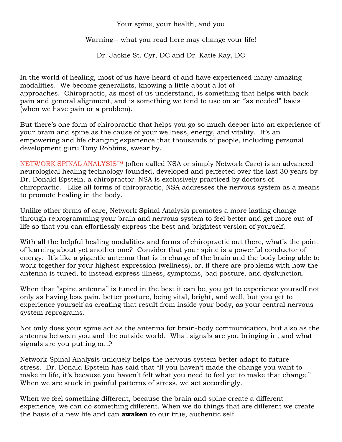## Your spine, your health, and you

Warning-- what you read here may change your life!

Dr. Jackie St. Cyr, DC and Dr. Katie Ray, DC

In the world of healing, most of us have heard of and have experienced many amazing modalities. We become generalists, knowing a little about a lot of approaches. Chiropractic, as most of us understand, is something that helps with back pain and general alignment, and is something we tend to use on an "as needed" basis (when we have pain or a problem).

But there's one form of chiropractic that helps you go so much deeper into an experience of your brain and spine as the cause of your wellness, energy, and vitality. It's an empowering and life changing experience that thousands of people, including personal development guru Tony Robbins, swear by.

NETWORK SPINAL ANALYSIS™ (often called NSA or simply Network Care) is an advanced neurological healing technology founded, developed and perfected over the last 30 years by Dr. Donald Epstein, a chiropractor. NSA is exclusively practiced by doctors of chiropractic. Like all forms of chiropractic, NSA addresses the nervous system as a means to promote healing in the body.

Unlike other forms of care, Network Spinal Analysis promotes a more lasting change through reprogramming your brain and nervous system to feel better and get more out of life so that you can effortlessly express the best and brightest version of yourself.

With all the helpful healing modalities and forms of chiropractic out there, what's the point of learning about yet another one? Consider that your spine is a powerful conductor of energy. It's like a gigantic antenna that is in charge of the brain and the body being able to work together for your highest expression (wellness), or, if there are problems with how the antenna is tuned, to instead express illness, symptoms, bad posture, and dysfunction.

When that "spine antenna" is tuned in the best it can be, you get to experience yourself not only as having less pain, better posture, being vital, bright, and well, but you get to experience yourself as creating that result from inside your body, as your central nervous system reprograms.

Not only does your spine act as the antenna for brain-body communication, but also as the antenna between you and the outside world. What signals are you bringing in, and what signals are you putting out?

Network Spinal Analysis uniquely helps the nervous system better adapt to future stress. Dr. Donald Epstein has said that "If you haven't made the change you want to make in life, it's because you haven't felt what you need to feel yet to make that change." When we are stuck in painful patterns of stress, we act accordingly.

When we feel something different, because the brain and spine create a different experience, we can do something different. When we do things that are different we create the basis of a new life and can **awaken** to our true, authentic self.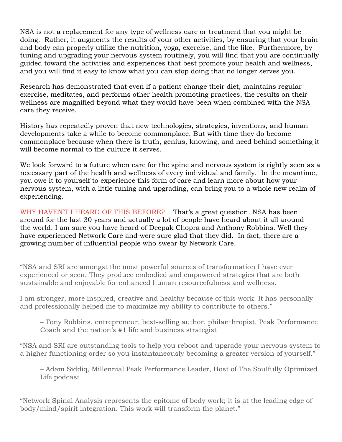NSA is not a replacement for any type of wellness care or treatment that you might be doing. Rather, it augments the results of your other activities, by ensuring that your brain and body can properly utilize the nutrition, yoga, exercise, and the like. Furthermore, by tuning and upgrading your nervous system routinely, you will find that you are continually guided toward the activities and experiences that best promote your health and wellness, and you will find it easy to know what you can stop doing that no longer serves you.

Research has demonstrated that even if a patient change their diet, maintains regular exercise, meditates, and performs other health promoting practices, the results on their wellness are magnified beyond what they would have been when combined with the NSA care they receive.

History has repeatedly proven that new technologies, strategies, inventions, and human developments take a while to become commonplace. But with time they do become commonplace because when there is truth, genius, knowing, and need behind something it will become normal to the culture it serves.

We look forward to a future when care for the spine and nervous system is rightly seen as a necessary part of the health and wellness of every individual and family. In the meantime, you owe it to yourself to experience this form of care and learn more about how your nervous system, with a little tuning and upgrading, can bring you to a whole new realm of experiencing.

WHY HAVEN'T I HEARD OF THIS BEFORE? | That's a great question. NSA has been around for the last 30 years and actually a lot of people have heard about it all around the world. I am sure you have heard of Deepak Chopra and Anthony Robbins. Well they have experienced Network Care and were sure glad that they did. In fact, there are a growing number of influential people who swear by Network Care.

"NSA and SRI are amongst the most powerful sources of transformation I have ever experienced or seen. They produce embodied and empowered strategies that are both sustainable and enjoyable for enhanced human resourcefulness and wellness.

I am stronger, more inspired, creative and healthy because of this work. It has personally and professionally helped me to maximize my ability to contribute to others."

– Tony Robbins, entrepreneur, best-selling author, philanthropist, Peak Performance Coach and the nation's #1 life and business strategist

"NSA and SRI are outstanding tools to help you reboot and upgrade your nervous system to a higher functioning order so you instantaneously becoming a greater version of yourself."

– Adam Siddiq, Millennial Peak Performance Leader, Host of The Soulfully Optimized Life podcast

"Network Spinal Analysis represents the epitome of body work; it is at the leading edge of body/mind/spirit integration. This work will transform the planet."